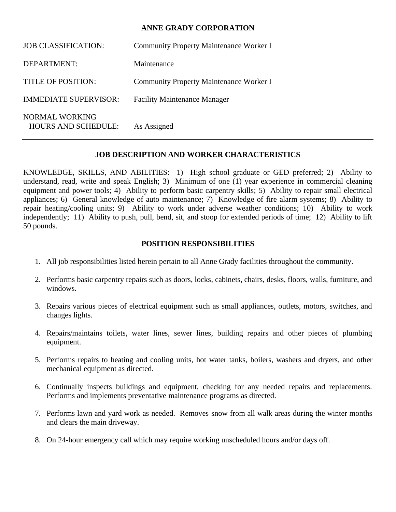## **ANNE GRADY CORPORATION**

| <b>JOB CLASSIFICATION:</b>                   | <b>Community Property Maintenance Worker I</b> |
|----------------------------------------------|------------------------------------------------|
| DEPARTMENT:                                  | Maintenance                                    |
| <b>TITLE OF POSITION:</b>                    | <b>Community Property Maintenance Worker I</b> |
| <b>IMMEDIATE SUPERVISOR:</b>                 | <b>Facility Maintenance Manager</b>            |
| NORMAL WORKING<br><b>HOURS AND SCHEDULE:</b> | As Assigned                                    |

## **JOB DESCRIPTION AND WORKER CHARACTERISTICS**

KNOWLEDGE, SKILLS, AND ABILITIES: 1) High school graduate or GED preferred; 2) Ability to understand, read, write and speak English; 3) Minimum of one (1) year experience in commercial cleaning equipment and power tools; 4) Ability to perform basic carpentry skills; 5) Ability to repair small electrical appliances; 6) General knowledge of auto maintenance; 7) Knowledge of fire alarm systems; 8) Ability to repair heating/cooling units; 9) Ability to work under adverse weather conditions; 10) Ability to work independently; 11) Ability to push, pull, bend, sit, and stoop for extended periods of time; 12) Ability to lift 50 pounds.

## **POSITION RESPONSIBILITIES**

- 1. All job responsibilities listed herein pertain to all Anne Grady facilities throughout the community.
- 2. Performs basic carpentry repairs such as doors, locks, cabinets, chairs, desks, floors, walls, furniture, and windows.
- 3. Repairs various pieces of electrical equipment such as small appliances, outlets, motors, switches, and changes lights.
- 4. Repairs/maintains toilets, water lines, sewer lines, building repairs and other pieces of plumbing equipment.
- 5. Performs repairs to heating and cooling units, hot water tanks, boilers, washers and dryers, and other mechanical equipment as directed.
- 6. Continually inspects buildings and equipment, checking for any needed repairs and replacements. Performs and implements preventative maintenance programs as directed.
- 7. Performs lawn and yard work as needed. Removes snow from all walk areas during the winter months and clears the main driveway.
- 8. On 24-hour emergency call which may require working unscheduled hours and/or days off.